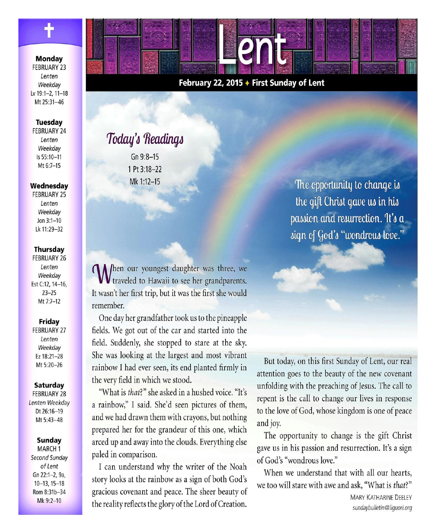**Monday FEBRUARY 23** Lenten Weekdav Lv 19:1-2, 11-18 Mt 25:31-46

#### **Tuesday**

**FEBRUARY 24** Lenten Weekdav Is 55:10-11 Mt 6:7-15

#### Wednesday

**FEBRUARY 25** Lenten Weekdav Jon  $3:1 - 10$  $1k 11.29 - 32$ 

#### **Thursday**

**FEBRUARY 26** Lenten Weekday Est C:12, 14-16,  $23 - 25$ Mt 7:7-12

### Friday

**FEBRUARY 27** Lenten Weekdav Ez 18:21-28 Mt 5:20-26

#### **Saturday**

**FEBRUARY 28** Lenten Weekday Dt 26:16-19 Mt 5:43-48

#### **Sunday**

MARCH<sub>1</sub> Second Sunday of Lent Gn 22:1-2, 9a,  $10-13.15-18$ Rom 8:31b-34 Mk 9:2-10

## February 22, 2015 + First Sunday of Lent

PNH

# Today's Readings

 $Gn9:8-15$ 1 Pt 3:18-22 Mk 1:12-15

**CA** /hen our youngest daughter was three, we V traveled to Hawaii to see her grandparents. It wasn't her first trip, but it was the first she would remember.

One day her grandfather took us to the pineapple fields. We got out of the car and started into the field. Suddenly, she stopped to stare at the sky. She was looking at the largest and most vibrant rainbow I had ever seen, its end planted firmly in the very field in which we stood.

"What is that?" she asked in a hushed voice. "It's a rainbow," I said. She'd seen pictures of them, and we had drawn them with crayons, but nothing prepared her for the grandeur of this one, which arced up and away into the clouds. Everything else paled in comparison.

I can understand why the writer of the Noah story looks at the rainbow as a sign of both God's gracious covenant and peace. The sheer beauty of the reality reflects the glory of the Lord of Creation.

The opportunity to change is the gift Christ gave us in his passion and resurrection. It's a sign of God's "wondrous love."

But today, on this first Sunday of Lent, our real attention goes to the beauty of the new covenant unfolding with the preaching of Jesus. The call to repent is the call to change our lives in response to the love of God, whose kingdom is one of peace and joy.

The opportunity to change is the gift Christ gave us in his passion and resurrection. It's a sign of God's "wondrous love."

When we understand that with all our hearts, we too will stare with awe and ask, "What is that?"

> **MARY KATHARINE DEELEY** sundaybulletin@liguori.org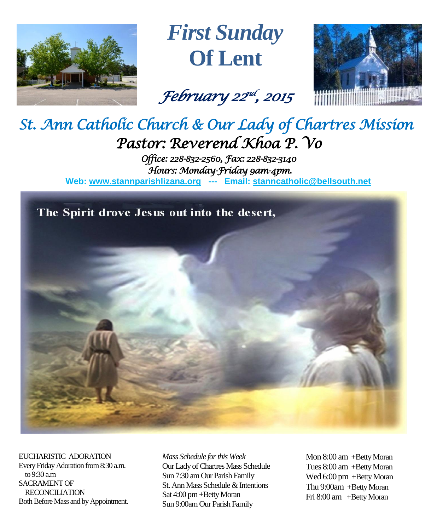

*First Sunday* **Of Lent**

*February 22 nd , 2015* 



# *St. Ann Catholic Church & Our Lady of Chartres Mission Pastor: Reverend Khoa P. Vo*

*Office: 228-832-2560, Fax: 228-832-3140 Hours: Monday-Friday 9am-4pm.*  **Web: www.stannparishlizana.org --- Email: [stanncatholic@bellsouth.net](mailto:stanncatholic@bellsouth.net)**

The Spirit drove Jesus out into the desert,



EUCHARISTIC ADORATION Every Friday Adoration from 8:30 a.m. to 9:30 a.m SACRAMENT OF RECONCILIATION Both Before Mass and by Appointment. *Mass Schedule for this Week*  Our Lady of Chartres Mass Schedule Sun 7:30 am Our Parish Family St. Ann Mass Schedule & Intentions Sat 4:00 pm+Betty Moran Sun 9:00am Our Parish Family

Mon 8:00 am +Betty Moran Tues 8:00 am +Betty Moran Wed 6:00 pm +Betty Moran Thu 9:00am +Betty Moran Fri 8:00 am +Betty Moran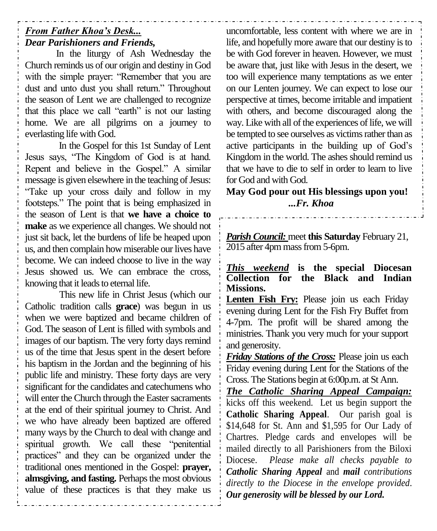# *From Father Khoa's Desk... Dear Parishioners and Friends,*

In the liturgy of Ash Wednesday the Church reminds us of our origin and destiny in God with the simple prayer: "Remember that you are dust and unto dust you shall return." Throughout the season of Lent we are challenged to recognize that this place we call "earth" is not our lasting home. We are all pilgrims on a journey to everlasting life with God.

In the Gospel for this 1st Sunday of Lent Jesus says, "The Kingdom of God is at hand. Repent and believe in the Gospel." A similar message is given elsewhere in the teaching of Jesus: "Take up your cross daily and follow in my footsteps." The point that is being emphasized in the season of Lent is that **we have a choice to make** as we experience all changes. We should not just sit back, let the burdens of life be heaped upon us, and then complain how miserable our lives have become. We can indeed choose to live in the way Jesus showed us. We can embrace the cross, knowing that it leads to eternal life.

This new life in Christ Jesus (which our Catholic tradition calls **grace**) was begun in us when we were baptized and became children of God. The season of Lent is filled with symbols and images of our baptism. The very forty days remind us of the time that Jesus spent in the desert before his baptism in the Jordan and the beginning of his public life and ministry. These forty days are very significant for the candidates and catechumens who will enter the Church through the Easter sacraments at the end of their spiritual journey to Christ. And we who have already been baptized are offered many ways by the Church to deal with change and spiritual growth. We call these "penitential practices" and they can be organized under the traditional ones mentioned in the Gospel: **prayer, almsgiving, and fasting.** Perhaps the most obvious value of these practices is that they make us

uncomfortable, less content with where we are in life, and hopefully more aware that our destiny is to be with God forever in heaven. However, we must be aware that, just like with Jesus in the desert, we too will experience many temptations as we enter on our Lenten journey. We can expect to lose our perspective at times, become irritable and impatient with others, and become discouraged along the way. Like with all of the experiences of life, we will be tempted to see ourselves as victims rather than as active participants in the building up of God's Kingdom in the world. The ashes should remind us that we have to die to self in order to learn to live for God and with God.

**May God pour out His blessings upon you!** *...Fr. Khoa*

*Parish Council:* meet **this Saturday** February 21, 2015 after 4pm mass from 5-6pm.

*This weekend* **is the special Diocesan Collection for the Black and Indian Missions.**

**Lenten Fish Fry:** Please join us each Friday evening during Lent for the Fish Fry Buffet from 4-7pm. The profit will be shared among the ministries. Thank you very much for your support and generosity.

*Friday Stations of the Cross:* Please join us each Friday evening during Lent for the Stations of the Cross. The Stations begin at 6:00p.m. at St Ann.

*The Catholic Sharing Appeal Campaign:* kicks off this weekend. Let us begin support the **Catholic Sharing Appeal**. Our parish goal is \$14,648 for St. Ann and \$1,595 for Our Lady of Chartres. Pledge cards and envelopes will be mailed directly to all Parishioners from the Biloxi Diocese. *Please make all checks payable to Catholic Sharing Appeal* and *mail contributions directly to the Diocese in the envelope provided*. *Our generosity will be blessed by our Lord.*